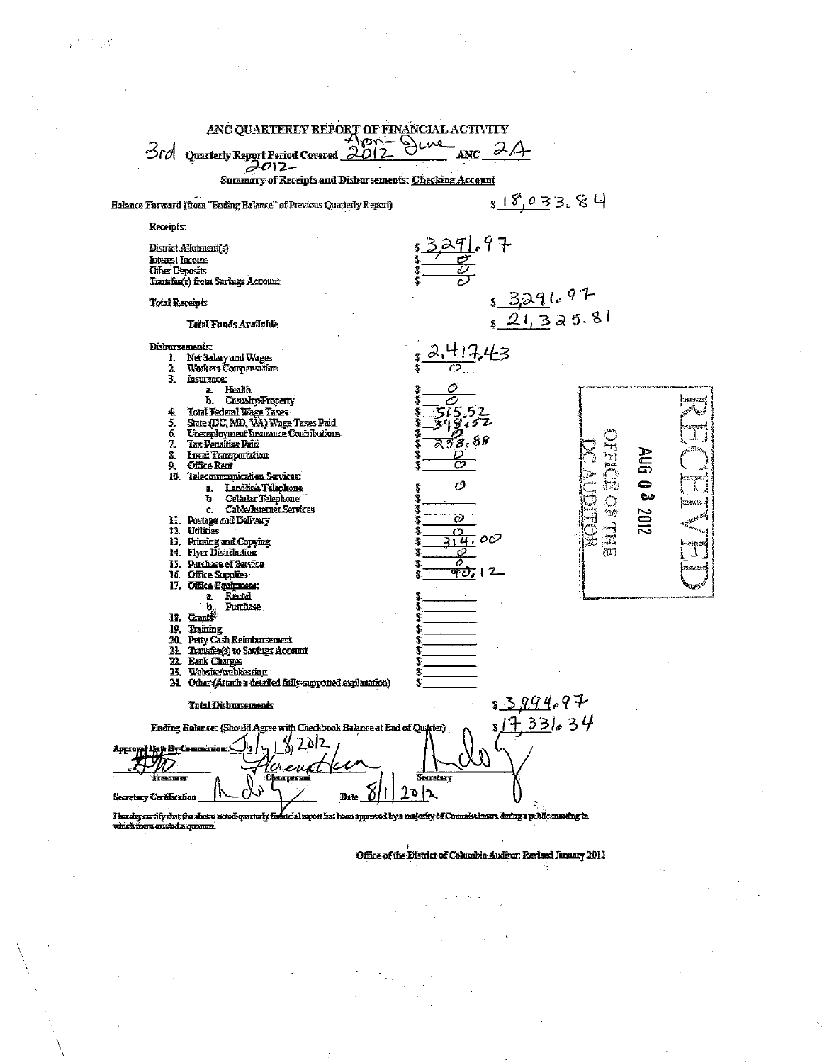| ANC QUARTERLY REPORT OF FINANCIAL ACTIVITY<br>Apri-Dune<br>3rd<br>Quarterly Report Period Covered 2012                                                                                                                                                                                                                                                                                                                                                                                                                                                                                                                                                                                                                                                                                                                                                                                                        | $_{ABC}$ $\alpha$                                                                                                                                                                                                                                                                                                                                                                               |  |  |  |  |  |  |
|---------------------------------------------------------------------------------------------------------------------------------------------------------------------------------------------------------------------------------------------------------------------------------------------------------------------------------------------------------------------------------------------------------------------------------------------------------------------------------------------------------------------------------------------------------------------------------------------------------------------------------------------------------------------------------------------------------------------------------------------------------------------------------------------------------------------------------------------------------------------------------------------------------------|-------------------------------------------------------------------------------------------------------------------------------------------------------------------------------------------------------------------------------------------------------------------------------------------------------------------------------------------------------------------------------------------------|--|--|--|--|--|--|
| $2012 -$<br>Summary of Receipts and Disbarsements: Checking Account                                                                                                                                                                                                                                                                                                                                                                                                                                                                                                                                                                                                                                                                                                                                                                                                                                           |                                                                                                                                                                                                                                                                                                                                                                                                 |  |  |  |  |  |  |
| Halance Forward (from "Ending Balance" of Previous Quarterly Report)                                                                                                                                                                                                                                                                                                                                                                                                                                                                                                                                                                                                                                                                                                                                                                                                                                          | <u> s 18,033.84</u>                                                                                                                                                                                                                                                                                                                                                                             |  |  |  |  |  |  |
| Receipts:                                                                                                                                                                                                                                                                                                                                                                                                                                                                                                                                                                                                                                                                                                                                                                                                                                                                                                     |                                                                                                                                                                                                                                                                                                                                                                                                 |  |  |  |  |  |  |
| District Allohnent[s]<br>Interest Income<br><b>Other Deposits</b><br>Transfer(s) from Savings Account                                                                                                                                                                                                                                                                                                                                                                                                                                                                                                                                                                                                                                                                                                                                                                                                         | <u>3.291</u> .97                                                                                                                                                                                                                                                                                                                                                                                |  |  |  |  |  |  |
| Total Receipts<br><b>Total Funds Avsülable</b>                                                                                                                                                                                                                                                                                                                                                                                                                                                                                                                                                                                                                                                                                                                                                                                                                                                                | $s$ 3291.97<br>$s$ 21, 325.81                                                                                                                                                                                                                                                                                                                                                                   |  |  |  |  |  |  |
| <b>Disbursements:</b><br>L Net Salary and Wages<br>2. Workers Compensations<br>З.<br>Insurance:<br>a. Health<br>b. Casualty/Property<br>Total Federal Wage Taxes<br>4.<br>State (DC, MD, VA) Wage Taxes Paid<br>5.<br>6. Unemployment Insurance Contributions<br>Tax Penalties Paid<br>7.<br>S. Local Transportation<br><b>Office Rent</b><br>Ω.<br>10. Telecommunication Services:<br>a. Landšine Telephone<br>b. Cellular Telephone<br>c. Cable/Internet Services<br>11. Postage and Delivery<br>12. Utilities<br>13. Printing and Copying<br>14. Flyer Distribution<br>15. Purchase of Service<br>15. Office Supplies<br>17. Office Equipment:<br>a. Rental<br>$\mathbf{b}_n$ Punchase<br>18. Gau\$<br>19. Training<br>20. Pety Cash Reimbursement<br>21. Transfer(s) to Savings Account<br><b>22. Bank Charges</b><br>13. Website/webbosning<br>24. Other (Attach a detailed fully-supported explanation) | 417.43<br>0<br>⊘<br>) specieus<br>رجاهيمين<br>5.53<br>34845<br><b>SALIZAN</b><br>Å.<br><u> 7</u> 8.88<br>JHE<br>بالأشتر<br><b>AUG 03</b><br>D<br>ా<br>enipes<br>$\mathbb{Z}^n$<br>ο<br>λ.<br>$\frac{\gamma}{2}$<br>in an a<br>2012<br>$423 + 122$<br>O<br>$\frac{1}{T}$<br>Ω<br>$\pi$ oc<br>验理部<br>$\mathcal{W}$<br>o<br>А.<br>o<br>essere de<br><u>क्के</u> 12<br>لروبونه<br>\$<br>3<br>S<br>S |  |  |  |  |  |  |
| <b>Total Disbursements</b>                                                                                                                                                                                                                                                                                                                                                                                                                                                                                                                                                                                                                                                                                                                                                                                                                                                                                    | 8 <u>3 994</u> .97                                                                                                                                                                                                                                                                                                                                                                              |  |  |  |  |  |  |
| Ending Balance: (Should Agree with Checkbook Balance at End of Quarter)<br>Approval Late By Commission.<br>Immer<br>Charperna<br>Secretary Certification<br>Date<br>Thardly carlify that the above noted quarterly financial suport has been approved by a majority of Commissioners dering a public meeting in<br>unità there existed a crossim.                                                                                                                                                                                                                                                                                                                                                                                                                                                                                                                                                             | 5/733634<br>Secretary<br>ን  ኌ                                                                                                                                                                                                                                                                                                                                                                   |  |  |  |  |  |  |

Office of the District of Columbia Auditor: Revised January 2011

4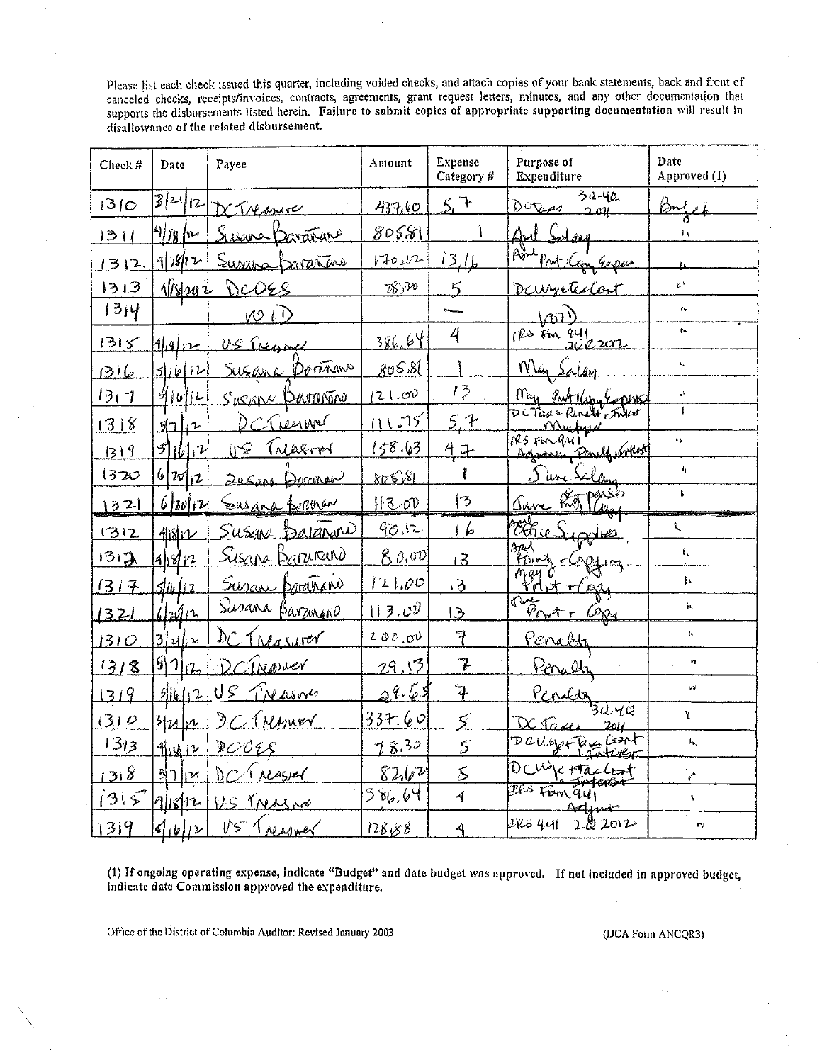Please list each check issued this quarter, including voided checks, and attach copies of your bank statements, back and front of canceled checks, receipts/invoices, contracts, agreements, grant request letters, minutes, and any other documentation that supports the disbursements listed herein. Failure to submit copies of appropriate supporting documentation will result in disallowance of the related disbursement.

| Check # | Date                            | Payee                                            | Amount        | <b>Expense</b><br>Category # | Purpose of<br>Expenditure                | Date<br>Approved (1)    |
|---------|---------------------------------|--------------------------------------------------|---------------|------------------------------|------------------------------------------|-------------------------|
| 1310    | 3 24 12                         | Treasure                                         | 437.60        | 5.7                          | $32 - 40$<br>Dotan 2011                  | i≫r.                    |
| 31      | 4/1 <u>8/</u> 12                | Susana Darañaro                                  | 80581         |                              | Salay<br><u>Aul</u>                      | 八                       |
| 1312    | $9$ is $12$                     | Survey Daranas                                   | $V + O2 V -$  | 1316                         | $\rho_{\sigma}$<br>Prot Com Expus        |                         |
| 1313    | <u>1/8/202</u>                  | DCOES                                            | 7830          | $5 \overline{)}$             | Daugutelost                              | $\epsilon^{\chi}$       |
| 1314    |                                 | <u>vo i D</u>                                    |               |                              | $\sqrt{v}$                               | $\mathbf{f}_\mathbf{v}$ |
| 1315    | <u>من اوراد</u>                 | US Treasure                                      | 386.64        | 4                            | $72.500$ ay $200202$                     | h.                      |
| عانية   | 5/16/12                         | Doranano<br>Susanc                               | <u>goS.81</u> |                              | Nin                                      | $\mathbf{f}_\mathbf{a}$ |
| 13(7)   | 91612                           | SUSANY PARTINTINO                                | 121.00        | 13                           | May Puttlesy Copins                      | ö                       |
| 1318    | 1112                            | Creener<br>Ď                                     | 11.75         | 5.7                          | DCTax - Penels , Frees<br><u>Mu by a</u> |                         |
| 319     | $5$ $  $ $  $ $1$               | Treasmor<br>158                                  | 158.63        | <u> 4 구</u>                  | IRS FOR QUI<br>Agamen Penels, Artest     | ί¢.                     |
| 1320    | 62012                           | <u>Jusans</u><br>Denziper                        | 80881         | ŀ                            | S une Salan                              | 과                       |
| 1321    | $\iota_{ w , \nu}$              | Susane forman                                    | $H3$ OD       | 13                           | Roffase<br>Shre                          | ŧ.                      |
| 1312    | 40812                           | Susan barañono                                   | 90.12         | $\mathfrak{c}$               | Mille                                    | t.                      |
| 1312    | 41812                           | <u>Sisana Barrano</u>                            | 80, m         | $\overline{13}$              | azy<br>FOM                               | ίı.                     |
| 1317    | <u> Sliu li z</u>               | Susan borations                                  | 121,00        | 13                           | rdet Haa                                 | 扛                       |
| 1321    | 6/20/12                         | Susana Barzinano                                 | 13.00         | $\overline{5}$               | rive<br>Port - Cop                       | h.                      |
| 1310    | <u>3 น  น</u>                   | $D_{\mathcal{C}}$<br><u>Treasurer</u>            | 200c          | 7                            | <u>Penaldi</u>                           | t.                      |
| 13/8    | $911_{12}$                      | Trasver<br>$\mathcal{D}$                         | 29.13         | 7                            | <u>Péralti</u>                           | 'n                      |
| 1319    | 5  y  2                         | US<br>TNASNO                                     | 5ع، می د      | $\ddot{\mathbf{4}}$          |                                          | W                       |
| (3)     | <u> Hulv</u>                    | $\mathfrak{H}$ .<br><i><u><b>I Myner</b></u></i> | 33+ 60        | $\varsigma$                  | 3440<br>Derami<br>$2c\mu$                | Ł                       |
| 1313    | <u>fluliz</u>                   | DCOES                                            | 78.30         | $\mathcal{S}$                | DCULAGEFRY CONT<br>1 Tartwert            | ĥ,                      |
| 138     | $5\vert$ )<br>$ _! \mathcal{V}$ | Dr. Wasver                                       | 8262          | $\mathcal{S}_{0}$            | DCM/etTacCent<br>بخصصت                   | k.                      |
| 1315    | $4$ k $n$                       | US TNASNO                                        | 386,64        | $\overline{4}$               | Iles Fism 941<br>Adjut                   | V                       |
| 1319    | $ q_1_0 _V$                     | US Treasmer                                      | 128.88        | 4                            | IRS qui 222012                           | $\mathbf{r}$            |

(1) If ongoing operating expense, indicate "Budget" and date budget was approved. If not included in approved budget, indicate date Commission approved the expenditure.

Office of the District of Columbia Auditor: Revised January 2003

(DCA Form ANCQR3)